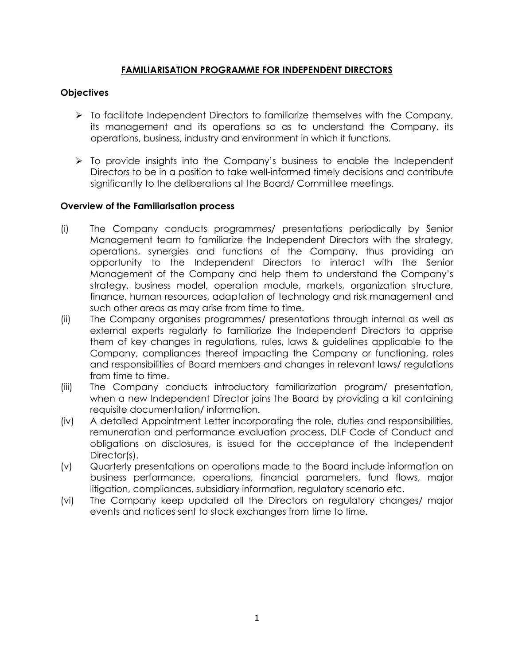## **FAMILIARISATION PROGRAMME FOR INDEPENDENT DIRECTORS**

## **Objectives**

- $\triangleright$  To facilitate Independent Directors to familiarize themselves with the Company, its management and its operations so as to understand the Company, its operations, business, industry and environment in which it functions.
- $\triangleright$  To provide insights into the Company's business to enable the Independent Directors to be in a position to take well-informed timely decisions and contribute significantly to the deliberations at the Board/ Committee meetings.

## **Overview of the Familiarisation process**

- (i) The Company conducts programmes/ presentations periodically by Senior Management team to familiarize the Independent Directors with the strategy, operations, synergies and functions of the Company, thus providing an opportunity to the Independent Directors to interact with the Senior Management of the Company and help them to understand the Company's strategy, business model, operation module, markets, organization structure, finance, human resources, adaptation of technology and risk management and such other areas as may arise from time to time.
- (ii) The Company organises programmes/ presentations through internal as well as external experts regularly to familiarize the Independent Directors to apprise them of key changes in regulations, rules, laws & guidelines applicable to the Company, compliances thereof impacting the Company or functioning, roles and responsibilities of Board members and changes in relevant laws/ regulations from time to time.
- (iii) The Company conducts introductory familiarization program/ presentation, when a new Independent Director joins the Board by providing a kit containing requisite documentation/ information.
- (iv) A detailed Appointment Letter incorporating the role, duties and responsibilities, remuneration and performance evaluation process, DLF Code of Conduct and obligations on disclosures, is issued for the acceptance of the Independent Director(s).
- (v) Quarterly presentations on operations made to the Board include information on business performance, operations, financial parameters, fund flows, major litigation, compliances, subsidiary information, regulatory scenario etc.
- (vi) The Company keep updated all the Directors on regulatory changes/ major events and notices sent to stock exchanges from time to time.